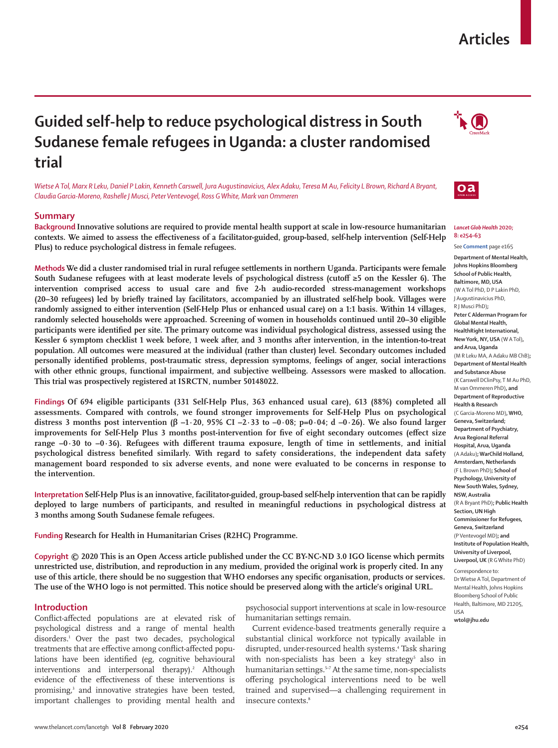# **Articles**

# **Guided self-help to reduce psychological distress in South Sudanese female refugees in Uganda: a cluster randomised trial**

*Wietse A Tol, Marx R Leku, Daniel P Lakin, Kenneth Carswell, Jura Augustinavicius, Alex Adaku, Teresa M Au, Felicity L Brown, Richard A Bryant, Claudia Garcia-Moreno, Rashelle J Musci, Peter Ventevogel, Ross G White, Mark van Ommeren*

### **Summary**

**Background Innovative solutions are required to provide mental health support at scale in low-resource humanitarian contexts. We aimed to assess the effectiveness of a facilitator-guided, group-based, self-help intervention (Self-Help Plus) to reduce psychological distress in female refugees.**

**Methods We did a cluster randomised trial in rural refugee settlements in northern Uganda. Participants were female South Sudanese refugees with at least moderate levels of psychological distress (cutoff ≥5 on the Kessler 6). The intervention comprised access to usual care and five 2-h audio-recorded stress-management workshops (20–30 refugees) led by briefly trained lay facilitators, accompanied by an illustrated self-help book. Villages were randomly assigned to either intervention (Self-Help Plus or enhanced usual care) on a 1:1 basis. Within 14 villages, randomly selected households were approached. Screening of women in households continued until 20–30 eligible participants were identified per site. The primary outcome was individual psychological distress, assessed using the Kessler 6 symptom checklist 1 week before, 1 week after, and 3 months after intervention, in the intention-to-treat population. All outcomes were measured at the individual (rather than cluster) level. Secondary outcomes included personally identified problems, post-traumatic stress, depression symptoms, feelings of anger, social interactions with other ethnic groups, functional impairment, and subjective wellbeing. Assessors were masked to allocation. This trial was prospectively registered at ISRCTN, number 50148022.**

**Findings Of 694 eligible participants (331 Self-Help Plus, 363 enhanced usual care), 613 (88%) completed all assessments. Compared with controls, we found stronger improvements for Self-Help Plus on psychological distress 3 months post intervention (β –1·20, 95% CI –2·33 to –0·08; p=0·04; d –0·26). We also found larger improvements for Self-Help Plus 3 months post-intervention for five of eight secondary outcomes (effect size range –0·30 to –0·36). Refugees with different trauma exposure, length of time in settlements, and initial psychological distress benefited similarly. With regard to safety considerations, the independent data safety management board responded to six adverse events, and none were evaluated to be concerns in response to the intervention.**

**Interpretation Self-Help Plus is an innovative, facilitator-guided, group-based self-help intervention that can be rapidly deployed to large numbers of participants, and resulted in meaningful reductions in psychological distress at 3 months among South Sudanese female refugees.**

**Funding Research for Health in Humanitarian Crises (R2HC) Programme.**

**Copyright © 2020 This is an Open Access article published under the CC BY-NC-ND 3.0 IGO license which permits unrestricted use, distribution, and reproduction in any medium, provided the original work is properly cited. In any use of this article, there should be no suggestion that WHO endorses any specific organisation, products or services. The use of the WHO logo is not permitted. This notice should be preserved along with the article's original URL.**

## **Introduction**

Conflict-affected populations are at elevated risk of psychological distress and a range of mental health disorders.1 Over the past two decades, psychological treatments that are effective among conflict-affected populations have been identified (eg, cognitive behavioural interventions and interpersonal therapy).<sup>2</sup> Although evidence of the effectiveness of these interventions is promising,<sup>3</sup> and innovative strategies have been tested, important challenges to providing mental health and

psychosocial support interventions at scale in low-resource humanitarian settings remain.

Current evidence-based treatments generally require a substantial clinical workforce not typically available in disrupted, under-resourced health systems.4 Task sharing with non-specialists has been a key strategy<sup>5</sup> also in humanitarian settings.<sup>5-7</sup> At the same time, non-specialists offering psychological interventions need to be well trained and supervised—a challenging requirement in insecure contexts.<sup>8</sup>





#### *Lancet Glob Health* **2020; 8: e254–63** See **Comment** page e165

**Department of Mental Health, Johns Hopkins Bloomberg School of Public Health, Baltimore, MD, USA** (W A Tol PhD, D P Lakin PhD, J Augustinavicius PhD, R J Musci PhD)**; Peter C Alderman Program for Global Mental Health, HealthRight International, New York, NY, USA** (W A Tol)**, and Arua, Uganda** (M R Leku MA, A Adaku MB ChB)**; Department of Mental Health and Substance Abuse**  (K Carswell DClinPsy, T M Au PhD, M van Ommeren PhD)**, and Department of Reproductive Health & Research** (C Garcia-Moreno MD)**, WHO, Geneva, Switzerland; Department of Psychiatry, Arua Regional Referral Hospital, Arua, Uganda**  (A Adaku)**; WarChild Holland, Amsterdam, Netherlands**  (F L Brown PhD)**; School of Psychology, University of New South Wales, Sydney, NSW, Australia**  (R A Bryant PhD)**; Public Health Section, UN High Commissioner for Refugees, Geneva, Switzerland**  (P Ventevogel MD)**; and Institute of Population Health, University of Liverpool, Liverpool, UK** (R G White PhD)

Correspondence to: Dr Wietse A Tol, Department of Mental Health, Johns Hopkins Bloomberg School of Public Health, Baltimore, MD 21205,

**wtol@jhu.edu**

USA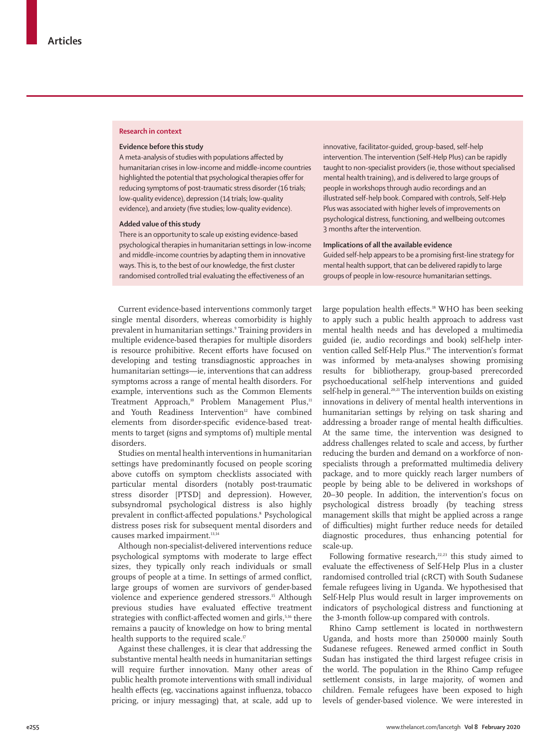## **Research in context**

#### **Evidence before this study**

A meta-analysis of studies with populations affected by humanitarian crises in low-income and middle-income countries highlighted the potential that psychological therapies offer for reducing symptoms of post-traumatic stress disorder (16 trials; low-quality evidence), depression (14 trials; low-quality evidence), and anxiety (five studies; low-quality evidence).

#### **Added value of this study**

There is an opportunity to scale up existing evidence-based psychological therapies in humanitarian settings in low-income and middle-income countries by adapting them in innovative ways. This is, to the best of our knowledge, the first cluster randomised controlled trial evaluating the effectiveness of an

innovative, facilitator-guided, group-based, self-help intervention. The intervention (Self-Help Plus) can be rapidly taught to non-specialist providers (ie, those without specialised mental health training), and is delivered to large groups of people in workshops through audio recordings and an illustrated self-help book. Compared with controls, Self-Help Plus was associated with higher levels of improvements on psychological distress, functioning, and wellbeing outcomes 3 months after the intervention.

## **Implications of all the available evidence**

Guided self-help appears to be a promising first-line strategy for mental health support, that can be delivered rapidly to large groups of people in low-resource humanitarian settings.

Current evidence-based interventions commonly target single mental disorders, whereas comorbidity is highly prevalent in humanitarian settings.9 Training providers in multiple evidence-based therapies for multiple disorders is resource prohibitive. Recent efforts have focused on developing and testing transdiagnostic approaches in humanitarian settings—ie, interventions that can address symptoms across a range of mental health disorders. For example, interventions such as the Common Elements Treatment Approach,<sup>10</sup> Problem Management Plus,<sup>11</sup> and Youth Readiness Intervention<sup>12</sup> have combined elements from disorder-specific evidence-based treatments to target (signs and symptoms of) multiple mental disorders.

Studies on mental health interventions in humanitarian settings have predominantly focused on people scoring above cutoffs on symptom checklists associated with particular mental disorders (notably post-traumatic stress disorder [PTSD] and depression). However, subsyndromal psychological distress is also highly prevalent in conflict-affected populations.8 Psychological distress poses risk for subsequent mental disorders and causes marked impairment.<sup>13,14</sup>

Although non-specialist-delivered interventions reduce psychological symptoms with moderate to large effect sizes, they typically only reach individuals or small groups of people at a time. In settings of armed conflict, large groups of women are survivors of gender-based violence and experience gendered stressors.<sup>15</sup> Although previous studies have evaluated effective treatment strategies with conflict-affected women and girls,<sup>5,16</sup> there remains a paucity of knowledge on how to bring mental health supports to the required scale.<sup>17</sup>

Against these challenges, it is clear that addressing the substantive mental health needs in humanitarian settings will require further innovation. Many other areas of public health promote interventions with small individual health effects (eg, vaccinations against influenza, tobacco pricing, or injury messaging) that, at scale, add up to

large population health effects.18 WHO has been seeking to apply such a public health approach to address vast mental health needs and has developed a multimedia guided (ie, audio recordings and book) self-help intervention called Self-Help Plus.19 The intervention's format was informed by meta-analyses showing promising results for bibliotherapy, group-based prerecorded psychoeducational self-help interventions and guided self-help in general.<sup>20,21</sup> The intervention builds on existing innovations in delivery of mental health interventions in humanitarian settings by relying on task sharing and addressing a broader range of mental health difficulties. At the same time, the intervention was designed to address challenges related to scale and access, by further reducing the burden and demand on a workforce of nonspecialists through a preformatted multimedia delivery package, and to more quickly reach larger numbers of people by being able to be delivered in workshops of 20–30 people. In addition, the intervention's focus on psychological distress broadly (by teaching stress management skills that might be applied across a range of difficulties) might further reduce needs for detailed diagnostic procedures, thus enhancing potential for scale-up.

Following formative research, $22,23$  this study aimed to evaluate the effectiveness of Self-Help Plus in a cluster randomised controlled trial (cRCT) with South Sudanese female refugees living in Uganda. We hypothesised that Self-Help Plus would result in larger improvements on indicators of psychological distress and functioning at the 3-month follow-up compared with controls.

Rhino Camp settlement is located in northwestern Uganda, and hosts more than 250 000 mainly South Sudanese refugees. Renewed armed conflict in South Sudan has instigated the third largest refugee crisis in the world. The population in the Rhino Camp refugee settlement consists, in large majority, of women and children. Female refugees have been exposed to high levels of gender-based violence. We were interested in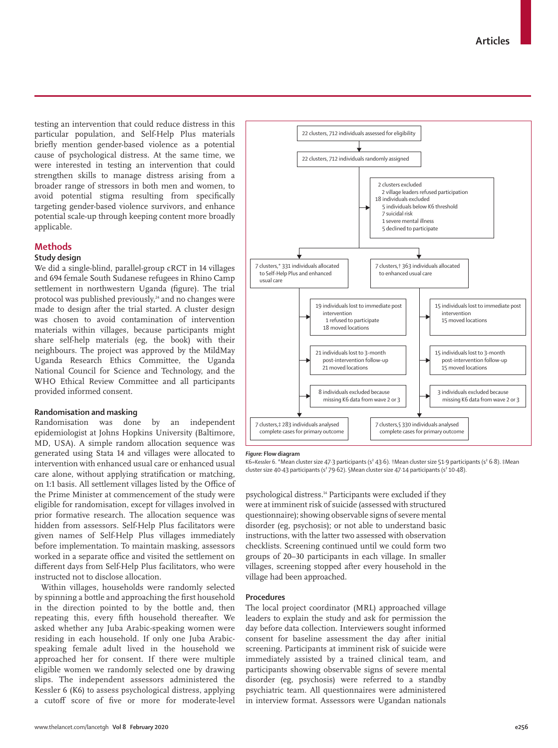testing an intervention that could reduce distress in this particular population, and Self-Help Plus materials briefly mention gender-based violence as a potential cause of psychological distress. At the same time, we were interested in testing an intervention that could strengthen skills to manage distress arising from a broader range of stressors in both men and women, to avoid potential stigma resulting from specifically targeting gender-based violence survivors, and enhance potential scale-up through keeping content more broadly applicable.

# **Methods**

# **Study design**

We did a single-blind, parallel-group cRCT in 14 villages and 694 female South Sudanese refugees in Rhino Camp settlement in northwestern Uganda (figure). The trial protocol was published previously,<sup>24</sup> and no changes were made to design after the trial started. A cluster design was chosen to avoid contamination of intervention materials within villages, because participants might share self-help materials (eg, the book) with their neighbours. The project was approved by the MildMay Uganda Research Ethics Committee, the Uganda National Council for Science and Technology, and the WHO Ethical Review Committee and all participants provided informed consent.

## **Randomisation and masking**

Randomisation was done by an independent epidemiologist at Johns Hopkins University (Baltimore, MD, USA). A simple random allocation sequence was generated using Stata 14 and villages were allocated to intervention with enhanced usual care or enhanced usual care alone, without applying stratification or matching, on 1:1 basis. All settlement villages listed by the Office of the Prime Minister at commencement of the study were eligible for randomisation, except for villages involved in prior formative research. The allocation sequence was hidden from assessors. Self-Help Plus facilitators were given names of Self-Help Plus villages immediately before implementation. To maintain masking, assessors worked in a separate office and visited the settlement on different days from Self-Help Plus facilitators, who were instructed not to disclose allocation.

Within villages, households were randomly selected by spinning a bottle and approaching the first household in the direction pointed to by the bottle and, then repeating this, every fifth household thereafter. We asked whether any Juba Arabic-speaking women were residing in each household. If only one Juba Arabicspeaking female adult lived in the household we approached her for consent. If there were multiple eligible women we randomly selected one by drawing slips. The independent assessors administered the Kessler 6 (K6) to assess psychological distress, applying a cutoff score of five or more for moderate-level



#### *Figure:* **Flow diagram**

K6=Kessler 6. \*Mean cluster size 47·3 participants (s² 43·6). †Mean cluster size 51·9 participants (s² 6·8). ‡Mean cluster size 40·43 participants (s<sup>2</sup> 79·62). §Mean cluster size 47·14 participants (s<sup>2</sup> 10·48).

psychological distress.14 Participants were excluded if they were at imminent risk of suicide (assessed with structured questionnaire); showing observable signs of severe mental disorder (eg, psychosis); or not able to understand basic instructions, with the latter two assessed with observation checklists. Screening continued until we could form two groups of 20–30 participants in each village. In smaller villages, screening stopped after every household in the village had been approached.

#### **Procedures**

The local project coordinator (MRL) approached village leaders to explain the study and ask for permission the day before data collection. Interviewers sought informed consent for baseline assessment the day after initial screening. Participants at imminent risk of suicide were immediately assisted by a trained clinical team, and participants showing observable signs of severe mental disorder (eg, psychosis) were referred to a standby psychiatric team. All questionnaires were administered in interview format. Assessors were Ugandan nationals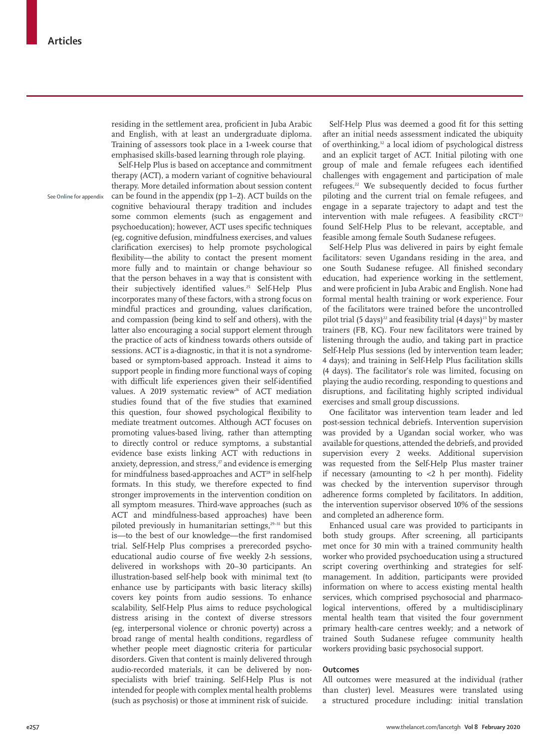residing in the settlement area, proficient in Juba Arabic and English, with at least an undergraduate diploma. Training of assessors took place in a 1-week course that emphasised skills-based learning through role playing.

See **Online** for appendix

Self-Help Plus is based on acceptance and commitment therapy (ACT), a modern variant of cognitive behavioural therapy. More detailed information about session content can be found in the appendix (pp 1–2). ACT builds on the cognitive behavioural therapy tradition and includes some common elements (such as engagement and psychoeducation); however, ACT uses specific techniques (eg, cognitive defusion, mindfulness exercises, and values clarification exercises) to help promote psychological flexibility—the ability to contact the present moment more fully and to maintain or change behaviour so that the person behaves in a way that is consistent with their subjectively identified values.<sup>25</sup> Self-Help Plus incorporates many of these factors, with a strong focus on mindful practices and grounding, values clarification, and compassion (being kind to self and others), with the latter also encouraging a social support element through the practice of acts of kindness towards others outside of sessions. ACT is a-diagnostic, in that it is not a syndromebased or symptom-based approach. Instead it aims to support people in finding more functional ways of coping with difficult life experiences given their self-identified values. A 2019 systematic review<sup>26</sup> of ACT mediation studies found that of the five studies that examined this question, four showed psychological flexibility to mediate treatment outcomes. Although ACT focuses on promoting values-based living, rather than attempting to directly control or reduce symptoms, a substantial evidence base exists linking ACT with reductions in anxiety, depression, and stress,<sup>27</sup> and evidence is emerging for mindfulness based-approaches and ACT<sup>28</sup> in self-help formats. In this study, we therefore expected to find stronger improvements in the intervention condition on all symptom measures. Third-wave approaches (such as ACT and mindfulness-based approaches) have been piloted previously in humanitarian settings,<sup>29-31</sup> but this is—to the best of our knowledge—the first randomised trial. Self-Help Plus comprises a prerecorded psychoeducational audio course of five weekly 2-h sessions, delivered in workshops with 20–30 participants. An illustration-based self-help book with minimal text (to enhance use by participants with basic literacy skills) covers key points from audio sessions. To enhance scalability, Self-Help Plus aims to reduce psychological distress arising in the context of diverse stressors (eg, interpersonal violence or chronic poverty) across a broad range of mental health conditions, regardless of whether people meet diagnostic criteria for particular disorders. Given that content is mainly delivered through audio-recorded materials, it can be delivered by nonspecialists with brief training. Self-Help Plus is not intended for people with complex mental health problems (such as psychosis) or those at imminent risk of suicide.

Self-Help Plus was deemed a good fit for this setting after an initial needs assessment indicated the ubiquity of overthinking,<sup>32</sup> a local idiom of psychological distress and an explicit target of ACT. Initial piloting with one group of male and female refugees each identified challenges with engagement and participation of male refugees.22 We subsequently decided to focus further piloting and the current trial on female refugees, and engage in a separate trajectory to adapt and test the intervention with male refugees. A feasibility  $C\mathbb{C}T^{23}$ found Self-Help Plus to be relevant, acceptable, and feasible among female South Sudanese refugees.

Self-Help Plus was delivered in pairs by eight female facilitators: seven Ugandans residing in the area, and one South Sudanese refugee. All finished secondary education, had experience working in the settlement, and were proficient in Juba Arabic and English. None had formal mental health training or work experience. Four of the facilitators were trained before the uncontrolled pilot trial (5 days)<sup>22</sup> and feasibility trial (4 days)<sup>23</sup> by master trainers (FB, KC). Four new facilitators were trained by listening through the audio, and taking part in practice Self-Help Plus sessions (led by intervention team leader; 4 days); and training in Self-Help Plus facilitation skills (4 days). The facilitator's role was limited, focusing on playing the audio recording, responding to questions and disruptions, and facilitating highly scripted individual exercises and small group discussions.

One facilitator was intervention team leader and led post-session technical debriefs. Intervention supervision was provided by a Ugandan social worker, who was available for questions, attended the debriefs, and provided supervision every 2 weeks. Additional supervision was requested from the Self-Help Plus master trainer if necessary (amounting to  $<$ 2 h per month). Fidelity was checked by the intervention supervisor through adherence forms completed by facilitators. In addition, the intervention supervisor observed 10% of the sessions and completed an adherence form.

Enhanced usual care was provided to participants in both study groups. After screening, all participants met once for 30 min with a trained community health worker who provided psychoeducation using a structured script covering overthinking and strategies for selfmanagement. In addition, participants were provided information on where to access existing mental health services, which comprised psychosocial and pharmacological interventions, offered by a multidisciplinary mental health team that visited the four government primary health-care centres weekly; and a network of trained South Sudanese refugee community health workers providing basic psychosocial support.

## **Outcomes**

All outcomes were measured at the individual (rather than cluster) level. Measures were translated using a structured procedure including: initial translation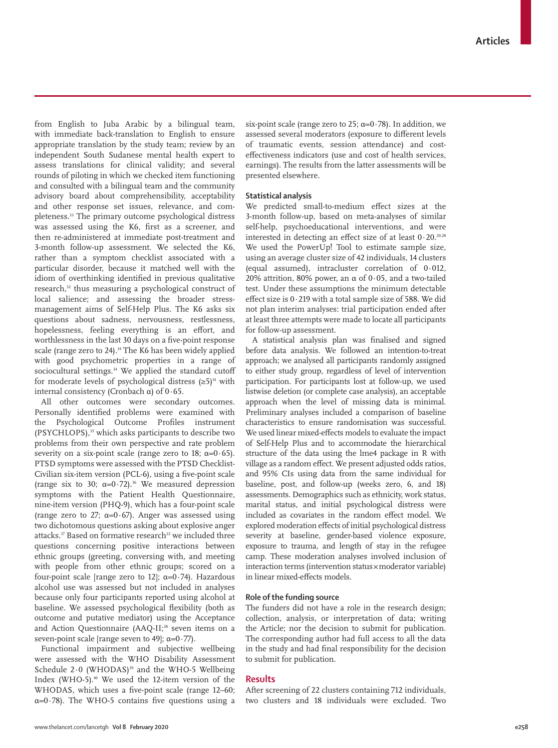from English to Juba Arabic by a bilingual team, with immediate back-translation to English to ensure appropriate translation by the study team; review by an independent South Sudanese mental health expert to assess translations for clinical validity; and several rounds of piloting in which we checked item functioning and consulted with a bilingual team and the community advisory board about comprehensibility, acceptability and other response set issues, relevance, and completeness.33 The primary outcome psychological distress was assessed using the K6, first as a screener, and then re-administered at immediate post-treatment and 3-month follow-up assessment. We selected the K6, rather than a symptom checklist associated with a particular disorder, because it matched well with the idiom of overthinking identified in previous qualitative research,<sup>32</sup> thus measuring a psychological construct of local salience; and assessing the broader stressmanagement aims of Self-Help Plus. The K6 asks six questions about sadness, nervousness, restlessness, hopelessness, feeling everything is an effort, and worthlessness in the last 30 days on a five-point response scale (range zero to 24).<sup>34</sup> The K6 has been widely applied with good psychometric properties in a range of sociocultural settings.<sup>34</sup> We applied the standard cutoff for moderate levels of psychological distress  $(≥5)<sup>14</sup>$  with internal consistency (Cronbach α) of 0·65.

All other outcomes were secondary outcomes. Personally identified problems were examined with the Psychological Outcome Profiles instrument (PSYCHLOPS),<sup>35</sup> which asks participants to describe two problems from their own perspective and rate problem severity on a six-point scale (range zero to 18;  $\alpha=0.65$ ). PTSD symptoms were assessed with the PTSD Checklist-Civilian six-item version (PCL-6), using a five-point scale (range six to 30;  $\alpha=0.72$ ).<sup>36</sup> We measured depression symptoms with the Patient Health Questionnaire, nine-item version (PHQ-9), which has a four-point scale (range zero to 27;  $\alpha=0.67$ ). Anger was assessed using two dichotomous questions asking about explosive anger attacks.<sup>37</sup> Based on formative research<sup>22</sup> we included three questions concerning positive interactions between ethnic groups (greeting, conversing with, and meeting with people from other ethnic groups; scored on a four-point scale [range zero to 12];  $\alpha=0.74$ ). Hazardous alcohol use was assessed but not included in analyses because only four participants reported using alcohol at baseline. We assessed psychological flexibility (both as outcome and putative mediator) using the Acceptance and Action Questionnaire (AAQ-II;<sup>38</sup> seven items on a seven-point scale [range seven to 49];  $\alpha = 0.77$ ).

Functional impairment and subjective wellbeing were assessed with the WHO Disability Assessment Schedule 2.0 (WHODAS)<sup>39</sup> and the WHO-5 Wellbeing Index (WHO-5).<sup>40</sup> We used the 12-item version of the WHODAS, which uses a five-point scale (range 12–60;  $\alpha=0.78$ ). The WHO-5 contains five questions using a six-point scale (range zero to 25;  $\alpha=0.78$ ). In addition, we assessed several moderators (exposure to different levels of traumatic events, session attendance) and costeffectiveness indicators (use and cost of health services, earnings). The results from the latter assessments will be presented elsewhere.

## **Statistical analysis**

We predicted small-to-medium effect sizes at the 3-month follow-up, based on meta-analyses of similar self-help, psychoeducational interventions, and were interested in detecting an effect size of at least  $0.20^{20,28}$ We used the PowerUp! Tool to estimate sample size, using an average cluster size of 42 individuals, 14 clusters (equal assumed), intracluster correlation of 0·012, 20% attrition, 80% power, an α of 0·05, and a two-tailed test. Under these assumptions the minimum detectable effect size is 0·219 with a total sample size of 588. We did not plan interim analyses: trial participation ended after at least three attempts were made to locate all participants for follow-up assessment.

A statistical analysis plan was finalised and signed before data analysis. We followed an intention-to-treat approach; we analysed all participants randomly assigned to either study group, regardless of level of intervention participation. For participants lost at follow-up, we used listwise deletion (or complete case analysis), an acceptable approach when the level of missing data is minimal. Preliminary analyses included a comparison of baseline characteristics to ensure randomisation was successful. We used linear mixed-effects models to evaluate the impact of Self-Help Plus and to accommodate the hierarchical structure of the data using the lme4 package in R with village as a random effect. We present adjusted odds ratios, and 95% CIs using data from the same individual for baseline, post, and follow-up (weeks zero, 6, and 18) assessments. Demographics such as ethnicity, work status, marital status, and initial psychological distress were included as covariates in the random effect model. We explored moderation effects of initial psychological distress severity at baseline, gender-based violence exposure, exposure to trauma, and length of stay in the refugee camp. These moderation analyses involved inclusion of interaction terms (intervention status×moderator variable) in linear mixed-effects models.

### **Role of the funding source**

The funders did not have a role in the research design; collection, analysis, or interpretation of data; writing the Article; nor the decision to submit for publication. The corresponding author had full access to all the data in the study and had final responsibility for the decision to submit for publication.

## **Results**

After screening of 22 clusters containing 712 individuals, two clusters and 18 individuals were excluded. Two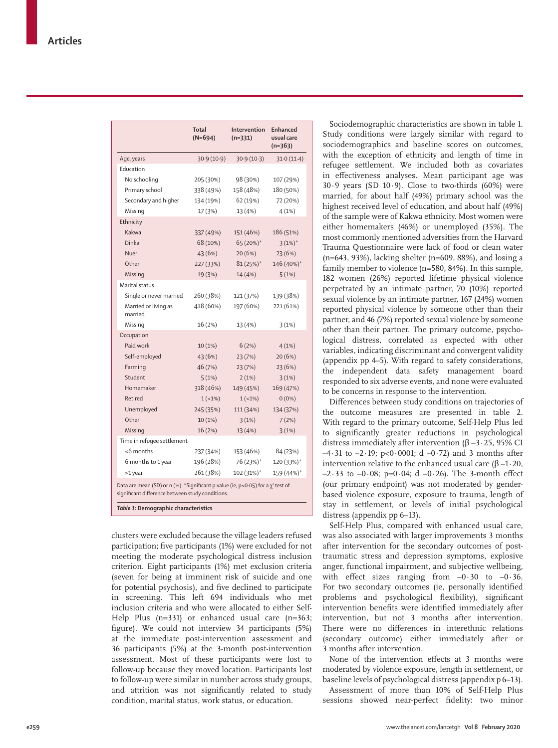|                                                                                                                                                                                   | Total<br>$(N=694)$ | Intervention<br>$(n=331)$ | <b>Enhanced</b><br>usual care<br>$(n=363)$ |  |  |
|-----------------------------------------------------------------------------------------------------------------------------------------------------------------------------------|--------------------|---------------------------|--------------------------------------------|--|--|
| Age, years                                                                                                                                                                        | 30.9(10.9)         | 30.9(10.3)                | 31.0(11.4)                                 |  |  |
| Education                                                                                                                                                                         |                    |                           |                                            |  |  |
| No schooling                                                                                                                                                                      | 205 (30%)          | 98 (30%)                  | 107 (29%)                                  |  |  |
| Primary school                                                                                                                                                                    | 338 (49%)          | 158 (48%)                 | 180 (50%)                                  |  |  |
| Secondary and higher                                                                                                                                                              | 134 (19%)          | 62 (19%)                  | 72 (20%)                                   |  |  |
| Missing                                                                                                                                                                           | 17 (3%)            | 13 (4%)                   | 4(1%)                                      |  |  |
| Ethnicity                                                                                                                                                                         |                    |                           |                                            |  |  |
| Kakwa                                                                                                                                                                             | 337 (49%)          | 151 (46%)                 | 186 (51%)                                  |  |  |
| Dinka                                                                                                                                                                             | 68 (10%)           | 65 (20%)*                 | $3(1%)$ *                                  |  |  |
| Nuer                                                                                                                                                                              | 43 (6%)            | 20(6%)                    | 23 (6%)                                    |  |  |
| Other                                                                                                                                                                             | 227 (33%)          | $81(25%)$ *               | 146 (40%)*                                 |  |  |
| Missing                                                                                                                                                                           | 19 (3%)            | 14 (4%)                   | 5(1%)                                      |  |  |
| Marital status                                                                                                                                                                    |                    |                           |                                            |  |  |
| Single or never married                                                                                                                                                           | 260 (38%)          | 121 (37%)                 | 139 (38%)                                  |  |  |
| Married or living as<br>married                                                                                                                                                   | 418 (60%)          | 197 (60%)                 | 221 (61%)                                  |  |  |
| Missing                                                                                                                                                                           | 16 (2%)            | 13 (4%)                   | 3(1%)                                      |  |  |
| Occupation                                                                                                                                                                        |                    |                           |                                            |  |  |
| Paid work                                                                                                                                                                         | 10(1%)             | 6(2%)                     | 4(1%)                                      |  |  |
| Self-employed                                                                                                                                                                     | 43 (6%)            | 23 (7%)                   | 20(6%)                                     |  |  |
| Farming                                                                                                                                                                           | 46 (7%)            | 23 (7%)                   | 23 (6%)                                    |  |  |
| Student                                                                                                                                                                           | 5(1%)              | 2(1%)                     | 3(1%)                                      |  |  |
| Homemaker                                                                                                                                                                         | 318 (46%)          | 149 (45%)                 | 169 (47%)                                  |  |  |
| Retired                                                                                                                                                                           | $1(-1%)$           | $1(-1%)$                  | $0(0\%)$                                   |  |  |
| Unemployed                                                                                                                                                                        | 245 (35%)          | 111 (34%)                 | 134 (37%)                                  |  |  |
| Other                                                                                                                                                                             | 10 (1%)            | 3(1%)                     | 7(2%)                                      |  |  |
| Missing                                                                                                                                                                           | 16(2%)             | 13 (4%)                   | 3(1%)                                      |  |  |
| Time in refugee settlement                                                                                                                                                        |                    |                           |                                            |  |  |
| <6 months                                                                                                                                                                         | 237 (34%)          | 153 (46%)                 | 84 (23%)                                   |  |  |
| 6 months to 1 year                                                                                                                                                                | 196 (28%)          | 76 (23%)*                 | 120 (33%)*                                 |  |  |
| >1 year                                                                                                                                                                           | 261 (38%)          | 102 (31%)*                | 159 (44%)*                                 |  |  |
| Data are mean (SD) or n (%). *Significant p value (ie, p<0.05) for a $\chi^2$ test of<br>significant difference between study conditions.<br>Table 1: Demographic characteristics |                    |                           |                                            |  |  |

clusters were excluded because the village leaders refused participation; five participants (1%) were excluded for not meeting the moderate psychological distress inclusion criterion. Eight participants (1%) met exclusion criteria (seven for being at imminent risk of suicide and one for potential psychosis), and five declined to participate in screening. This left 694 individuals who met inclusion criteria and who were allocated to either Self-Help Plus (n=331) or enhanced usual care (n=363; figure). We could not interview 34 participants (5%) at the immediate post-intervention assessment and 36 participants (5%) at the 3-month post-intervention assessment. Most of these participants were lost to follow-up because they moved location. Participants lost to follow-up were similar in number across study groups, and attrition was not significantly related to study condition, marital status, work status, or education.

Sociodemographic characteristics are shown in table 1. Study conditions were largely similar with regard to sociodemographics and baseline scores on outcomes, with the exception of ethnicity and length of time in refugee settlement. We included both as covariates in effectiveness analyses. Mean participant age was  $30.9$  years (SD  $10.9$ ). Close to two-thirds (60%) were married, for about half (49%) primary school was the highest received level of education, and about half (49%) of the sample were of Kakwa ethnicity. Most women were either homemakers (46%) or unemployed (35%). The most commonly mentioned adversities from the Harvard Trauma Questionnaire were lack of food or clean water (n=643, 93%), lacking shelter (n=609, 88%), and losing a family member to violence (n=580, 84%). In this sample, 182 women (26%) reported lifetime physical violence perpetrated by an intimate partner, 70 (10%) reported sexual violence by an intimate partner, 167 (24%) women reported physical violence by someone other than their partner, and 46 (7%) reported sexual violence by someone other than their partner. The primary outcome, psychological distress, correlated as expected with other variables, indicating discriminant and convergent validity (appendix pp 4–5). With regard to safety considerations, the independent data safety management board responded to six adverse events, and none were evaluated to be concerns in response to the intervention.

Differences between study conditions on trajectories of the outcome measures are presented in table 2. With regard to the primary outcome, Self-Help Plus led to significantly greater reductions in psychological distress immediately after intervention (β –3·25, 95% CI –4·31 to –2·19; p<0·0001; d –0·72) and 3 months after intervention relative to the enhanced usual care (β –1·20, –2·33 to –0·08; p=0·04; d –0·26). The 3-month effect (our primary endpoint) was not moderated by genderbased violence exposure, exposure to trauma, length of stay in settlement, or levels of initial psychological distress (appendix pp 6–13).

Self-Help Plus, compared with enhanced usual care, was also associated with larger improvements 3 months after intervention for the secondary outcomes of posttraumatic stress and depression symptoms, explosive anger, functional impairment, and subjective wellbeing, with effect sizes ranging from  $-0.30$  to  $-0.36$ . For two secondary outcomes (ie, personally identified problems and psychological flexibility), significant intervention benefits were identified immediately after intervention, but not 3 months after intervention. There were no differences in interethnic relations (secondary outcome) either immediately after or 3 months after intervention.

None of the intervention effects at 3 months were moderated by violence exposure, length in settlement, or baseline levels of psychological distress (appendix p 6–13). Assessment of more than 10% of Self-Help Plus sessions showed near-perfect fidelity: two minor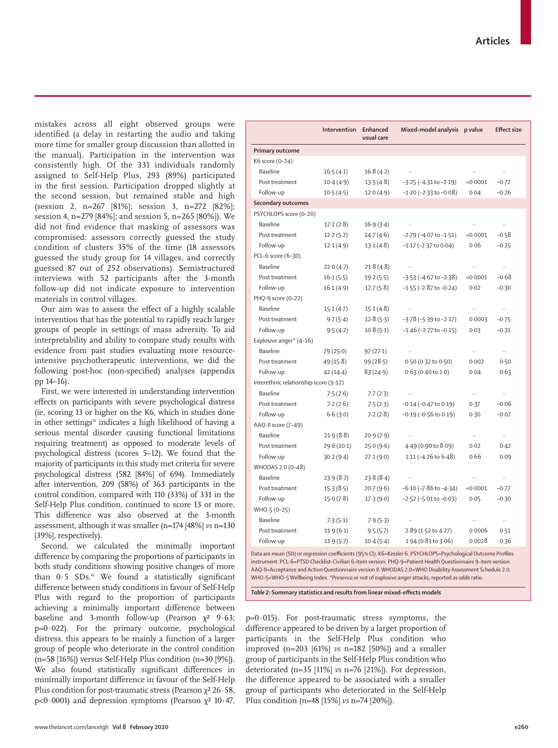mistakes across all eight observed groups were identified (a delay in restarting the audio and taking more time for smaller group discussion than allotted in the manual). Participation in the intervention was consistently high. Of the 331 individuals randomly assigned to Self-Help Plus, 293 (89%) participated in the first session. Participation dropped slightly at the second session, but remained stable and high (session 2, n=267 [81%]; session 3, n=272 [82%]; session 4, n=279 [84%]; and session 5, n=265 [80%]). We did not find evidence that masking of assessors was compromised: assessors correctly guessed the study condition of clusters 35% of the time (18 assessors guessed the study group for 14 villages, and correctly guessed 87 out of 252 observations). Semistructured interviews with 52 participants after the 3-month follow-up did not indicate exposure to intervention materials in control villages.

Our aim was to assess the effect of a highly scalable intervention that has the potential to rapidly reach larger groups of people in settings of mass adversity. To aid interpretability and ability to compare study results with evidence from past studies evaluating more resourceintensive psychotherapeutic interventions, we did the following post-hoc (non-specified) analyses (appendix pp 14–16).

First, we were interested in understanding intervention effects on participants with severe psychological distress (ie, scoring 13 or higher on the K6, which in studies done in other settings<sup>14</sup> indicates a high likelihood of having a serious mental disorder causing functional limitations requiring treatment) as opposed to moderate levels of psychological distress (scores 5–12). We found that the majority of participants in this study met criteria for severe psychological distress (582 [84%] of 694). Immediately after intervention, 209 (58%) of 363 participants in the control condition, compared with 110 (33%) of 331 in the Self-Help Plus condition, continued to score 13 or more. This difference was also observed at the 3-month assessment, although it was smaller (n=174 [48%] *vs* n=130 [39%], respectively).

Second, we calculated the minimally important difference by comparing the proportions of participants in both study conditions showing positive changes of more than  $0.5$  SDs.<sup>41</sup> We found a statistically significant difference between study conditions in favour of Self-Help Plus with regard to the proportion of participants achieving a minimally important difference between baseline and 3-month follow-up (Pearson  $\chi^2$  9.63;  $p=0.022$ ). For the primary outcome, psychological distress, this appears to be mainly a function of a larger group of people who deteriorate in the control condition (n=58 [16%]) versus Self-Help Plus condition (n=30 [9%]). We also found statistically significant differences in minimally important difference in favour of the Self-Help Plus condition for post-traumatic stress (Pearson γ<sup>2</sup> 26 · 58, p<0.0001) and depression symptoms (Pearson  $\chi^2$  10.47,

|                                       | Intervention | Enhanced<br>usual care | Mixed-model analysis           | p value   | <b>Effect size</b> |  |  |
|---------------------------------------|--------------|------------------------|--------------------------------|-----------|--------------------|--|--|
| Primary outcome                       |              |                        |                                |           |                    |  |  |
| K6 score (0-24)                       |              |                        |                                |           |                    |  |  |
| Baseline                              | 16.5(4.1)    | 16.8(4.2)              |                                | .,        |                    |  |  |
| Post treatment                        | 10.4(4.9)    | 13.5(4.8)              | $-3.25$ ( $-4.31$ to $-2.19$ ) | < 0.0001  | $-0.72$            |  |  |
| Follow-up                             | 10.5(4.5)    | 12.0(4.9)              | $-1.20$ ( $-2.33$ to $-0.08$ ) | 0.04      | $-0.26$            |  |  |
| Secondary outcomes                    |              |                        |                                |           |                    |  |  |
| PSYCHLOPS score (0-20)                |              |                        |                                |           |                    |  |  |
| <b>Baseline</b>                       | 17.2(2.8)    | 16.9(3.4)              |                                |           |                    |  |  |
| Post treatment                        | 12.2(5.2)    | 14.7(4.6)              | $-2.79$ ( $-4.07$ to $-1.51$ ) | < 0.0001  | $-0.58$            |  |  |
| Follow-up                             | 12.1(4.9)    | 13.1(4.8)              | $-1.17$ ( $-2.37$ to 0.04)     | 0.06      | $-0.25$            |  |  |
| PCL-6 score (6-30)                    |              |                        |                                |           |                    |  |  |
| <b>Baseline</b>                       | 22.0(4.7)    | 21.8(4.8)              |                                |           | н.                 |  |  |
| Post treatment                        | 16.1(5.5)    | 19.2(5.5)              | $-3.53$ ( $-4.67$ to $-2.38$ ) | < 0.0001  | $-0.68$            |  |  |
| Follow-up                             | 16.1(4.9)    | 17.7(5.8)              | $-1.55$ ( $-2.87$ to $-0.24$ ) | 0.02      | $-0.30$            |  |  |
| PHQ-9 score (0-27)                    |              |                        |                                |           |                    |  |  |
| <b>Baseline</b>                       | 15.1(4.7)    | 15.1(4.8)              |                                | $\ddotsc$ |                    |  |  |
| Post treatment                        | 9.7(5.4)     | 12.8(5.3)              | $-3.78$ ( $-5.39$ to $-2.17$ ) | 0.0003    | $-0.75$            |  |  |
| Follow-up                             | 9.5(4.2)     | 10.8(5.1)              | $-1.46$ ( $-2.77$ to $-0.15$ ) | 0.03      | $-0.31$            |  |  |
| Explosive anger* (4-16)               |              |                        |                                |           |                    |  |  |
| <b>Baseline</b>                       | 79 (25.0)    | 97(27.1)               | $\ddotsc$                      | $\ddotsc$ | .,                 |  |  |
| Post treatment                        | 49 (15.8)    | 99(28.5)               | 0.50 (0.32 to 0.50)            | 0.002     | 0.50               |  |  |
| Follow-up                             | $42(14-4)$   | 83(24.9)               | $0.63(0.40 \text{ to } 1.0)$   | 0.04      | 0.63               |  |  |
| Interethnic relationship score (3-12) |              |                        |                                |           |                    |  |  |
| <b>Baseline</b>                       | 7.5(2.6)     | 7.7(2.3)               |                                | $\ddotsc$ | $\ldots$           |  |  |
| Post treatment                        | 7.2(2.6)     | 7.5(2.3)               | $-0.14$ ( $-0.47$ to $0.19$ )  | 0.37      | $-0.06$            |  |  |
| Follow-up                             | 6.6(3.0)     | 7.2(2.8)               | $-0.19$ ( $-0.56$ to $0.19$ )  | 0.30      | $-0.07$            |  |  |
| AAQ-II score (7-49)                   |              |                        |                                |           |                    |  |  |
| Baseline                              | 21.9(8.8)    | 20.9(7.9)              |                                | $\ldots$  | $\ldots$           |  |  |
| Post treatment                        | 29.6(10.1)   | 25.0(9.6)              | $4.49$ (0.90 to 8.09)          | 0.02      | 0.42               |  |  |
| Follow-up                             | 30.2(9.4)    | 27.1(9.0)              | $1.11$ (-4.26 to 6.48)         | 0.66      | 0.09               |  |  |
| WHODAS 2.0 (0-48)                     |              |                        |                                |           |                    |  |  |
| <b>Baseline</b>                       | 23.9(8.7)    | 23.8(8.4)              |                                |           | $\ldots$           |  |  |
| Post treatment                        | 15.3(8.5)    | 20.7(9.6)              | $-6.10$ ( $-7.86$ to $-4.34$ ) | < 0.0001  | $-0.77$            |  |  |
| Follow-up                             | 15.0(7.8)    | 17.3(9.0)              | $-2.52$ ( $-5.01$ to $-0.03$ ) | 0.05      | $-0.30$            |  |  |
| WHO-5 (0-25)                          |              |                        |                                |           |                    |  |  |
| <b>Baseline</b>                       | 7.3(5.1)     | 7.9(5.3)               | $\ddotsc$                      |           |                    |  |  |
| Post treatment                        | 11.9(6.1)    | 9.5(5.7)               | 2.89 (1.52 to 4.27)            | 0.0006    | 0.51               |  |  |
| Follow-up                             | 11.9(5.7)    | 10.4(5.4)              | 1.94 (0.81 to 3.06)            | 0.0028    | 0.36               |  |  |

Data are mean (SD) or regression coefficients (95% CI). K6=Kessler 6. PSYCHLOPS=Psychological Outcome Profiles instrument. PCL-6=PTSD Checklist-Civilian 6-item version. PHQ-9=Patient Health Questionnaire 9-item version. AAQ-II=Acceptance and Action Questionnaire version II. WHODAS 2.0=WHO Disability Assessment Schedule 2.0. WHO-5=WHO-5 Wellbeing Index. \*Presence or not of explosive anger attacks, reported as odds ratio.

*Table 2:* **Summary statistics and results from linear mixed-effects models**

 $p=0.015$ ). For post-traumatic stress symptoms, the difference appeared to be driven by a larger proportion of participants in the Self-Help Plus condition who improved (n=203 [61%] *vs* n=182 [50%]) and a smaller group of participants in the Self-Help Plus condition who deteriorated (n=35 [11%] *vs* n=76 [21%]). For depression, the difference appeared to be associated with a smaller group of participants who deteriorated in the Self-Help Plus condition (n=48 [15%] *vs* n=74 [20%]).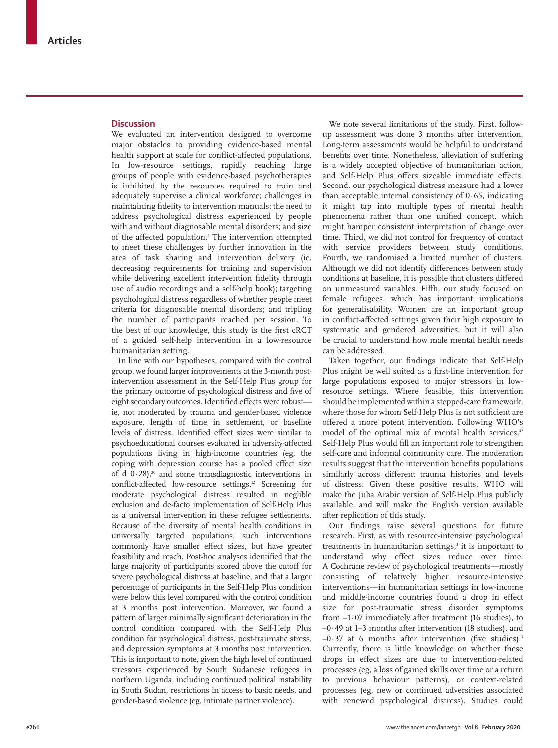## **Discussion**

We evaluated an intervention designed to overcome major obstacles to providing evidence-based mental health support at scale for conflict-affected populations. In low-resource settings, rapidly reaching large groups of people with evidence-based psychotherapies is inhibited by the resources required to train and adequately supervise a clinical workforce; challenges in maintaining fidelity to intervention manuals; the need to address psychological distress experienced by people with and without diagnosable mental disorders; and size of the affected population.4 The intervention attempted to meet these challenges by further innovation in the area of task sharing and intervention delivery (ie, decreasing requirements for training and supervision while delivering excellent intervention fidelity through use of audio recordings and a self-help book); targeting psychological distress regardless of whether people meet criteria for diagnosable mental disorders; and tripling the number of participants reached per session. To the best of our knowledge, this study is the first cRCT of a guided self-help intervention in a low-resource humanitarian setting.

In line with our hypotheses, compared with the control group, we found larger improvements at the 3-month postintervention assessment in the Self-Help Plus group for the primary outcome of psychological distress and five of eight secondary outcomes. Identified effects were robust ie, not moderated by trauma and gender-based violence exposure, length of time in settlement, or baseline levels of distress. Identified effect sizes were similar to psychoeducational courses evaluated in adversity-affected populations living in high-income countries (eg, the coping with depression course has a pooled effect size of d  $0.28$ ),<sup>20</sup> and some transdiagnostic interventions in conflict-affected low-resource settings.<sup>12</sup> Screening for moderate psychological distress resulted in neglible exclusion and de-facto implementation of Self-Help Plus as a universal intervention in these refugee settlements. Because of the diversity of mental health conditions in universally targeted populations, such interventions commonly have smaller effect sizes, but have greater feasibility and reach. Post-hoc analyses identified that the large majority of participants scored above the cutoff for severe psychological distress at baseline, and that a larger percentage of participants in the Self-Help Plus condition were below this level compared with the control condition at 3 months post intervention. Moreover, we found a pattern of larger minimally significant deterioration in the control condition compared with the Self-Help Plus condition for psychological distress, post-traumatic stress, and depression symptoms at 3 months post intervention. This is important to note, given the high level of continued stressors experienced by South Sudanese refugees in northern Uganda, including continued political instability in South Sudan, restrictions in access to basic needs, and gender-based violence (eg, intimate partner violence).

We note several limitations of the study. First, followup assessment was done 3 months after intervention. Long-term assessments would be helpful to understand benefits over time. Nonetheless, alleviation of suffering is a widely accepted objective of humanitarian action, and Self-Help Plus offers sizeable immediate effects. Second, our psychological distress measure had a lower than acceptable internal consistency of  $0.65$ , indicating it might tap into multiple types of mental health phenomena rather than one unified concept, which might hamper consistent interpretation of change over time. Third, we did not control for frequency of contact with service providers between study conditions. Fourth, we randomised a limited number of clusters. Although we did not identify differences between study conditions at baseline, it is possible that clusters differed on unmeasured variables. Fifth, our study focused on female refugees, which has important implications for generalisability. Women are an important group in conflict-affected settings given their high exposure to systematic and gendered adversities, but it will also be crucial to understand how male mental health needs can be addressed.

Taken together, our findings indicate that Self-Help Plus might be well suited as a first-line intervention for large populations exposed to major stressors in lowresource settings. Where feasible, this intervention should be implemented within a stepped-care framework, where those for whom Self-Help Plus is not sufficient are offered a more potent intervention. Following WHO's model of the optimal mix of mental health services,<sup>42</sup> Self-Help Plus would fill an important role to strengthen self-care and informal community care. The moderation results suggest that the intervention benefits populations similarly across different trauma histories and levels of distress. Given these positive results, WHO will make the Juba Arabic version of Self-Help Plus publicly available, and will make the English version available after replication of this study.

Our findings raise several questions for future research. First, as with resource-intensive psychological treatments in humanitarian settings,<sup>3</sup> it is important to understand why effect sizes reduce over time. A Cochrane review of psychological treatments—mostly consisting of relatively higher resource-intensive interventions—in humanitarian settings in low-income and middle-income countries found a drop in effect size for post-traumatic stress disorder symptoms from  $-1.07$  immediately after treatment (16 studies), to –0·49 at 1–3 months after intervention (18 studies), and  $-0.37$  at 6 months after intervention (five studies).<sup>3</sup> Currently, there is little knowledge on whether these drops in effect sizes are due to intervention-related processes (eg, a loss of gained skills over time or a return to previous behaviour patterns), or context-related processes (eg, new or continued adversities associated with renewed psychological distress). Studies could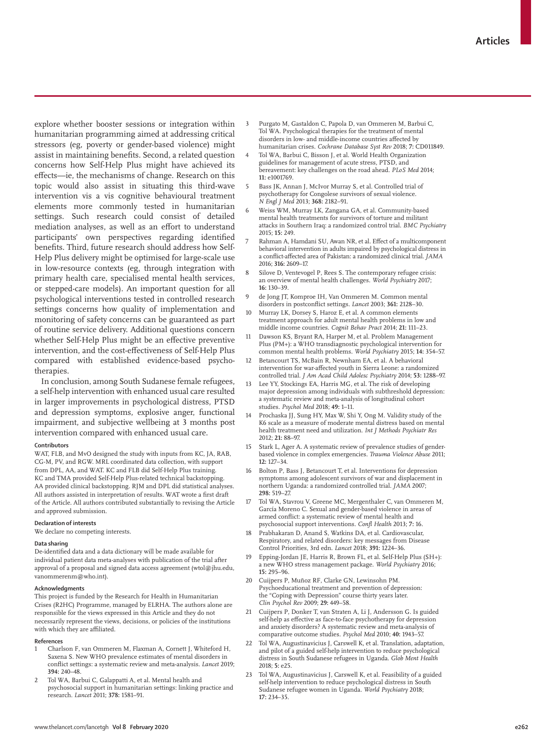explore whether booster sessions or integration within humanitarian programming aimed at addressing critical stressors (eg, poverty or gender-based violence) might assist in maintaining benefits. Second, a related question concerns how Self-Help Plus might have achieved its effects—ie, the mechanisms of change. Research on this topic would also assist in situating this third-wave intervention vis a vis cognitive behavioural treatment elements more commonly tested in humanitarian settings. Such research could consist of detailed mediation analyses, as well as an effort to understand participants' own perspectives regarding identified benefits. Third, future research should address how Self-Help Plus delivery might be optimised for large-scale use in low-resource contexts (eg, through integration with primary health care, specialised mental health services, or stepped-care models). An important question for all psychological interventions tested in controlled research settings concerns how quality of implementation and monitoring of safety concerns can be guaranteed as part of routine service delivery. Additional questions concern whether Self-Help Plus might be an effective preventive intervention, and the cost-effectiveness of Self-Help Plus compared with established evidence-based psychotherapies.

In conclusion, among South Sudanese female refugees, a self-help intervention with enhanced usual care resulted in larger improvements in psychological distress, PTSD and depression symptoms, explosive anger, functional impairment, and subjective wellbeing at 3 months post intervention compared with enhanced usual care.

#### **Contributors**

WAT, FLB, and MvO designed the study with inputs from KC, JA, RAB, CG-M, PV, and RGW. MRL coordinated data collection, with support from DPL, AA, and WAT. KC and FLB did Self-Help Plus training. KC and TMA provided Self-Help Plus-related technical backstopping. AA provided clinical backstopping. RJM and DPL did statistical analyses. All authors assisted in interpretation of results. WAT wrote a first draft of the Article. All authors contributed substantially to revising the Article and approved submission.

## **Declaration of interests**

We declare no competing interests.

#### **Data sharing**

De-identified data and a data dictionary will be made available for individual patient data meta-analyses with publication of the trial after approval of a proposal and signed data access agreement (wtol@jhu.edu, vanommerenm@who.int).

#### **Acknowledgments**

This project is funded by the Research for Health in Humanitarian Crises (R2HC) Programme, managed by ELRHA. The authors alone are responsible for the views expressed in this Article and they do not necessarily represent the views, decisions, or policies of the institutions with which they are affiliated.

#### **References**

- 1 Charlson F, van Ommeren M, Flaxman A, Cornett J, Whiteford H, Saxena S. New WHO prevalence estimates of mental disorders in conflict settings: a systematic review and meta-analysis. *Lancet* 2019; **394:** 240–48.
- 2 Tol WA, Barbui C, Galappatti A, et al. Mental health and psychosocial support in humanitarian settings: linking practice and research. *Lancet* 2011; **378:** 1581–91.
- 3 Purgato M, Gastaldon C, Papola D, van Ommeren M, Barbui C, Tol WA. Psychological therapies for the treatment of mental disorders in low- and middle-income countries affected by humanitarian crises. *Cochrane Database Syst Rev* 2018; **7:** CD011849.
- 4 Tol WA, Barbui C, Bisson J, et al. World Health Organization guidelines for management of acute stress, PTSD, and bereavement: key challenges on the road ahead. *PLoS Med* 2014; **11:** e1001769.
- 5 Bass JK, Annan J, McIvor Murray S, et al. Controlled trial of psychotherapy for Congolese survivors of sexual violence. *N Engl J Med* 2013; **368:** 2182–91.
- Weiss WM, Murray LK, Zangana GA, et al. Community-based mental health treatments for survivors of torture and militant attacks in Southern Iraq: a randomized control trial. *BMC Psychiatry* 2015; **15:** 249.
- Rahman A, Hamdani SU, Awan NR, et al. Effect of a multicomponent behavioral intervention in adults impaired by psychological distress in a conflict-affected area of Pakistan: a randomized clinical trial. *JAMA* 2016; **316:** 2609–17.
- 8 Silove D, Ventevogel P, Rees S. The contemporary refugee crisis: an overview of mental health challenges. *World Psychiatry* 2017; **16:** 130–39.
- 9 de Jong JT, Komproe IH, Van Ommeren M. Common mental disorders in postconflict settings. *Lancet* 2003; **361:** 2128–30.
- 10 Murray LK, Dorsey S, Haroz E, et al. A common elements treatment approach for adult mental health problems in low and middle income countries. *Cognit Behav Pract* 2014; **21:** 111–23.
- Dawson KS, Bryant RA, Harper M, et al. Problem Management Plus (PM+): a WHO transdiagnostic psychological intervention for common mental health problems. *World Psychiatry* 2015; **14:** 354–57.
- 12 Betancourt TS, McBain R, Newnham EA, et al. A behavioral intervention for war-affected youth in Sierra Leone: a randomized controlled trial. *J Am Acad Child Adolesc Psychiatry* 2014; **53:** 1288–97.
- Lee YY, Stockings EA, Harris MG, et al. The risk of developing major depression among individuals with subthreshold depression: a systematic review and meta-analysis of longitudinal cohort studies. *Psychol Med* 2018; **49:** 1–11.
- 14 Prochaska JJ, Sung HY, Max W, Shi Y, Ong M. Validity study of the K6 scale as a measure of moderate mental distress based on mental health treatment need and utilization. *Int J Methods Psychiatr Res* 2012; **21:** 88–97.
- Stark L, Ager A. A systematic review of prevalence studies of genderbased violence in complex emergencies. *Trauma Violence Abuse* 2011; **12:** 127–34.
- 16 Bolton P, Bass J, Betancourt T, et al. Interventions for depression symptoms among adolescent survivors of war and displacement in northern Uganda: a randomized controlled trial. *JAMA* 2007; **298:** 519–27.
- 17 Tol WA, Stavrou V, Greene MC, Mergenthaler C, van Ommeren M, García Moreno C. Sexual and gender-based violence in areas of armed conflict: a systematic review of mental health and psychosocial support interventions. *Confl Health* 2013; **7:** 16.
- Prabhakaran D, Anand S, Watkins DA, et al. Cardiovascular, Respiratory, and related disorders: key messages from Disease Control Priorities, 3rd edn. *Lancet* 2018; **391:** 1224–36.
- 19 Epping-Jordan JE, Harris R, Brown FL, et al. Self-Help Plus (SH+): a new WHO stress management package. *World Psychiatry* 2016; **15:** 295–96.
- 20 Cuijpers P, Muñoz RF, Clarke GN, Lewinsohn PM. Psychoeducational treatment and prevention of depression: the "Coping with Depression" course thirty years later. *Clin Psychol Rev* 2009; **29:** 449–58.
- 21 Cuijpers P, Donker T, van Straten A, Li J, Andersson G. Is guided self-help as effective as face-to-face psychotherapy for depression and anxiety disorders? A systematic review and meta-analysis of comparative outcome studies. *Psychol Med* 2010; **40:** 1943–57.
- 22 Tol WA, Augustinavicius J, Carswell K, et al. Translation, adaptation, and pilot of a guided self-help intervention to reduce psychological distress in South Sudanese refugees in Uganda. *Glob Ment Health*  2018; **5:** e25.
- 23 Tol WA, Augustinavicius J, Carswell K, et al. Feasibility of a guided self-help intervention to reduce psychological distress in South Sudanese refugee women in Uganda. *World Psychiatry* 2018; **17:** 234–35.